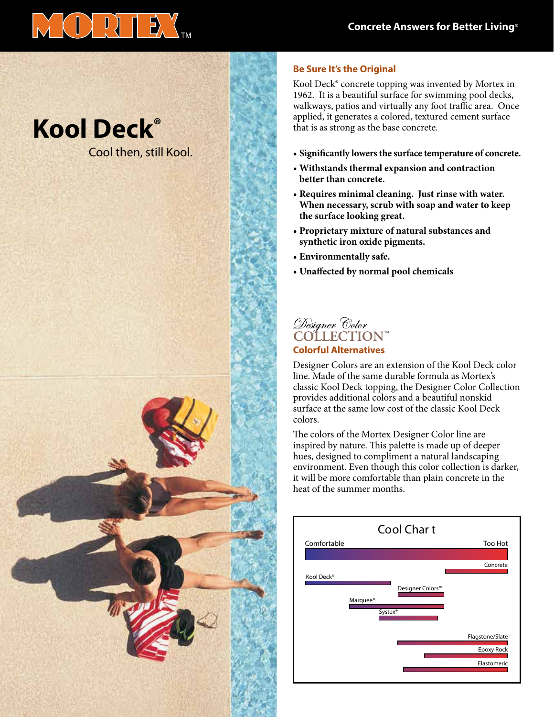

# **Kool Deck®**

Cool then, still Kool.



### **Be Sure It's the Original**

Kool Deck® concrete topping was invented by Mortex in 1962. It is a beautiful surface for swimming pool decks, walkways, patios and virtually any foot traffic area. Once applied, it generates a colored, textured cement surface that is as strong as the base concrete.

- **• Significantly lowers the surface temperature of concrete.**
- **• Withstands thermal expansion and contraction better than concrete.**
- **• Requires minimal cleaning. Just rinse with water. When necessary, scrub with soap and water to keep the surface looking great.**
- **• Proprietary mixture of natural substances and synthetic iron oxide pigments.**
- **• Environmentally safe.**
- **• Unaffected by normal pool chemicals**

# Designer Color<br>COLLECTION™

#### **Colorful Alternatives**

Designer Colors are an extension of the Kool Deck color line. Made of the same durable formula as Mortex's classic Kool Deck topping, the Designer Color Collection provides additional colors and a beautiful nonskid surface at the same low cost of the classic Kool Deck colors.

The colors of the Mortex Designer Color line are inspired by nature. This palette is made up of deeper hues, designed to compliment a natural landscaping environment. Even though this color collection is darker, it will be more comfortable than plain concrete in the heat of the summer months.